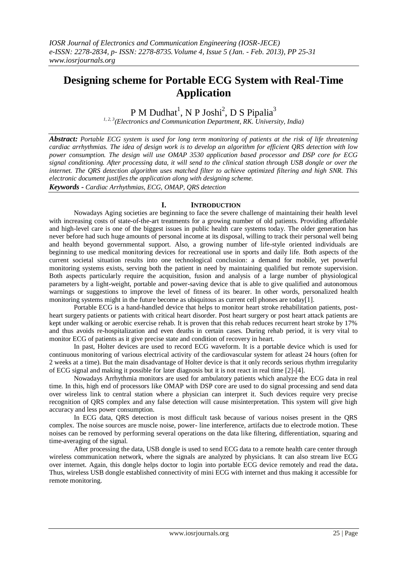# **Designing scheme for Portable ECG System with Real-Time Application**

P M Dudhat<sup>1</sup>, N P Joshi<sup>2</sup>, D S Pipalia<sup>3</sup>

*1, 2, 3(Electronics and Communication Department, RK. University, India)*

*Abstract: Portable ECG system is used for long term monitoring of patients at the risk of life threatening cardiac arrhythmias. The idea of design work is to develop an algorithm for efficient QRS detection with low power consumption. The design will use OMAP 3530 application based processor and DSP core for ECG signal conditioning. After processing data, it will send to the clinical station through USB dongle or over the internet. The QRS detection algorithm uses matched filter to achieve optimized filtering and high SNR. This electronic document justifies the application along with designing scheme.*

*Keywords - Cardiac Arrhythmias, ECG, OMAP, QRS detection*

## **I. INTRODUCTION**

Nowadays Aging societies are beginning to face the severe challenge of maintaining their health level with increasing costs of state-of-the-art treatments for a growing number of old patients. Providing affordable and high-level care is one of the biggest issues in public health care systems today. The older generation has never before had such huge amounts of personal income at its disposal, willing to track their personal well being and health beyond governmental support. Also, a growing number of life-style oriented individuals are beginning to use medical monitoring devices for recreational use in sports and daily life. Both aspects of the current societal situation results into one technological conclusion: a demand for mobile, yet powerful monitoring systems exists, serving both the patient in need by maintaining qualified but remote supervision. Both aspects particularly require the acquisition, fusion and analysis of a large number of physiological parameters by a light-weight, portable and power-saving device that is able to give qualified and autonomous warnings or suggestions to improve the level of fitness of its bearer. In other words, personalized health monitoring systems might in the future become as ubiquitous as current cell phones are today[1].

Portable ECG is a hand-handled device that helps to monitor heart stroke rehabilitation patients, postheart surgery patients or patients with critical heart disorder. Post heart surgery or post heart attack patients are kept under walking or aerobic exercise rehab. It is proven that this rehab reduces recurrent heart stroke by 17% and thus avoids re-hospitalization and even deaths in certain cases. During rehab period, it is very vital to monitor ECG of patients as it give precise state and condition of recovery in heart.

In past, Holter devices are used to record ECG waveform. It is a portable device which is used for continuous monitoring of various electrical activity of the cardiovascular system for atleast 24 hours (often for 2 weeks at a time). But the main disadvantage of Holter device is that it only records serious rhythm irregularity of ECG signal and making it possible for later diagnosis but it is not react in real time [2]-[4].

Nowadays Arrhythmia monitors are used for ambulatory patients which analyze the ECG data in real time. In this, high end of processors like OMAP with DSP core are used to do signal processing and send data over wireless link to central station where a physician can interpret it. Such devices require very precise recognition of QRS complex and any false detection will cause misinterpretation. This system will give high accuracy and less power consumption.

In ECG data, QRS detection is most difficult task because of various noises present in the QRS complex. The noise sources are muscle noise, power- line interference, artifacts due to electrode motion. These noises can be removed by performing several operations on the data like filtering, differentiation, squaring and time-averaging of the signal.

After processing the data, USB dongle is used to send ECG data to a remote health care center through wireless communication network, where the signals are analyzed by physicians. It can also stream live ECG over internet. Again, this dongle helps doctor to login into portable ECG device remotely and read the data**.** Thus, wireless USB dongle established connectivity of mini ECG with internet and thus making it accessible for remote monitoring.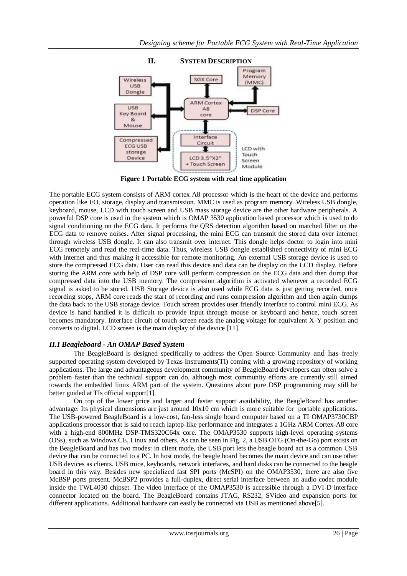

# **II. SYSTEM DESCRIPTION**

**Figure 1 Portable ECG system with real time application**

The portable ECG system consists of ARM cortex A8 processor which is the heart of the device and performs operation like I/O, storage, display and transmission. MMC is used as program memory. Wireless USB dongle, keyboard, mouse, LCD with touch screen and USB mass storage device are the other hardware peripherals. A powerful DSP core is used in the system which is OMAP 3530 application based processor which is used to do signal conditioning on the ECG data. It performs the QRS detection algorithm based on matched filter on the ECG data to remove noises. After signal processing, the mini ECG can transmit the stored data over internet through wireless USB dongle. It can also transmit over internet. This dongle helps doctor to login into mini ECG remotely and read the real-time data. Thus, wireless USB dongle established connectivity of mini ECG with internet and thus making it accessible for remote monitoring. An external USB storage device is used to store the compressed ECG data. User can read this device and data can be display on the LCD display. Before storing the ARM core with help of DSP core will perform compression on the ECG data and then dump that compressed data into the USB memory. The compression algorithm is activated whenever a recorded ECG signal is asked to be stored. USB Storage device is also used while ECG data is just getting recorded, once recording stops, ARM core reads the start of recording and runs compression algorithm and then again dumps the data back to the USB storage device. Touch screen provides user friendly interface to control mini ECG. As device is hand handled it is difficult to provide input through mouse or keyboard and hence, touch screen becomes mandatory. Interface circuit of touch screen reads the analog voltage for equivalent X-Y position and converts to digital. LCD screen is the main display of the device [11].

# *II.I Beagleboard - An OMAP Based System*

The BeagleBoard is designed specifically to address the Open Source Community and has freely supported operating system developed by Texas Instruments(TI) coming with a growing repository of working applications. The large and advantageous development community of BeagleBoard developers can often solve a problem faster than the technical support can do, although most community efforts are currently still aimed towards the embedded linux ARM part of the system. Questions about pure DSP programming may still be better guided at TIs official support[1].

On top of the lower price and larger and faster support availability, the BeagleBoard has another advantage: Its physical dimensions are just around  $10x10$  cm which is more suitable for portable applications. The USB-powered BeagleBoard is a low-cost, fan-less single board computer based on a TI OMAP3730CBP applications processor that is said to reach laptop-like performance and integrates a 1GHz ARM Cortex-A8 core with a high-end 800MHz DSP-TMS320C64x core. The OMAP3530 supports high-level operating systems (OSs), such as Windows CE, Linux and others. As can be seen in Fig. 2, a USB OTG (On-the-Go) port exists on the BeagleBoard and has two modes: in client mode, the USB port lets the beagle board act as a common USB device that can be connected to a PC. In host mode, the beagle board becomes the main device and can use other USB devices as clients. USB mice, keyboards, network interfaces, and hard disks can be connected to the beagle board in this way. Besides new specialized fast SPI ports (McSPI) on the OMAP3530, there are also five McBSP ports present. McBSP2 provides a full-duplex, direct serial interface between an audio codec module inside the TWL4030 chipset. The video interface of the OMAP3530 is accessible through a DVI-D interface connector located on the board. The BeagleBoard contains JTAG, RS232, SVideo and expansion ports for different applications. Additional hardware can easily be connected via USB as mentioned above[5].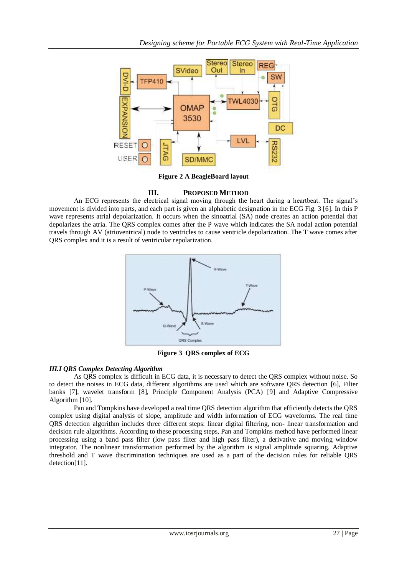

**Figure 2 A BeagleBoard layout**

# **III. PROPOSED METHOD**

An ECG represents the electrical signal moving through the heart during a heartbeat. The signal's movement is divided into parts, and each part is given an alphabetic designation in the ECG Fig. 3 [6]. In this P wave represents atrial depolarization. It occurs when the sinoatrial (SA) node creates an action potential that depolarizes the atria. The QRS complex comes after the P wave which indicates the SA nodal action potential travels through AV (atrioventrical) node to ventricles to cause ventricle depolarization. The T wave comes after QRS complex and it is a result of ventricular repolarization.



**Figure 3 QRS complex of ECG**

## *III.I QRS Complex Detecting Algorithm*

As QRS complex is difficult in ECG data, it is necessary to detect the QRS complex without noise. So to detect the noises in ECG data, different algorithms are used which are software QRS detection [6], Filter banks [7], wavelet transform [8], Principle Component Analysis (PCA) [9] and Adaptive Compressive Algorithm [10].

Pan and Tompkins have developed a real time QRS detection algorithm that efficiently detects the QRS complex using digital analysis of slope, amplitude and width information of ECG waveforms. The real time QRS detection algorithm includes three different steps: linear digital filtering, non- linear transformation and decision rule algorithms. According to these processing steps, Pan and Tompkins method have performed linear processing using a band pass filter (low pass filter and high pass filter), a derivative and moving window integrator. The nonlinear transformation performed by the algorithm is signal amplitude squaring. Adaptive threshold and T wave discrimination techniques are used as a part of the decision rules for reliable QRS detection[11].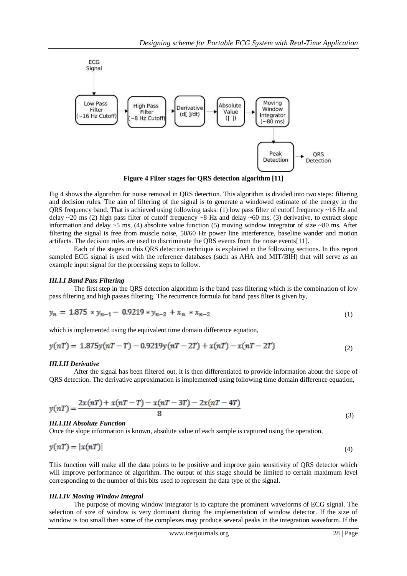

**Figure 4 Filter stages for QRS detection algorithm [11]**

Fig 4 shows the algorithm for noise removal in QRS detection. This algorithm is divided into two steps: filtering and decision rules. The aim of filtering of the signal is to generate a windowed estimate of the energy in the QRS frequency band. That is achieved using following tasks: (1) low pass filter of cutoff frequency ~16 Hz and delay  $\sim$  20 ms (2) high pass filter of cutoff frequency  $\sim$  8 Hz and delay  $\sim$  60 ms, (3) derivative, to extract slope information and delay  $\sim$  5 ms, (4) absolute value function (5) moving window integrator of size  $\sim$  80 ms. After filtering the signal is free from muscle noise, 50/60 Hz power line interference, baseline wander and motion artifacts. The decision rules are used to discriminate the QRS events from the noise events[11].

Each of the stages in this QRS detection technique is explained in the following sections. In this report sampled ECG signal is used with the reference databases (such as AHA and MIT/BIH) that will serve as an example input signal for the processing steps to follow.

## *III.I.I Band Pass Filtering*

The first step in the QRS detection algorithm is the band pass filtering which is the combination of low pass filtering and high passes filtering. The recurrence formula for band pass filter is given by,

$$
y_n = 1.875 \cdot y_{n-1} - 0.9219 \cdot y_{n-2} + x_n \cdot x_{n-2} \tag{1}
$$

which is implemented using the equivalent time domain difference equation,

$$
y(nT) = 1.875y(nT - T) - 0.9219y(nT - 2T) + x(nT) - x(nT - 2T)
$$
\n(2)

### *III.I.II Derivative*

After the signal has been filtered out, it is then differentiated to provide information about the slope of QRS detection. The derivative approximation is implemented using following time domain difference equation,

$$
y(nT) = \frac{2x(nT) + x(nT - T) - x(nT - 3T) - 2x(nT - 4T)}{8}
$$
\n(3)

### *III.I.III Absolute Function*

Once the slope information is known, absolute value of each sample is captured using the operation,

$$
y(nT) = |x(nT)| \tag{4}
$$

This function will make all the data points to be positive and improve gain sensitivity of QRS detector which will improve performance of algorithm. The output of this stage should be limited to certain maximum level corresponding to the number of this bits used to represent the data type of the signal.

### *III.I.IV Moving Window Integral*

The purpose of moving window integrator is to capture the prominent waveforms of ECG signal. The selection of size of window is very dominant during the implementation of window detector. If the size of window is too small then some of the complexes may produce several peaks in the integration waveform. If the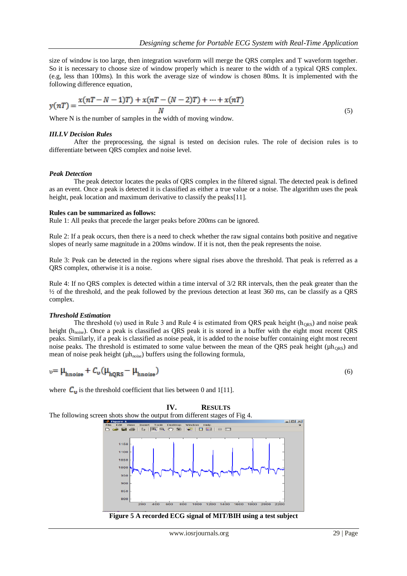size of window is too large, then integration waveform will merge the QRS complex and T waveform together. So it is necessary to choose size of window properly which is nearer to the width of a typical QRS complex. (e.g, less than 100ms). In this work the average size of window is chosen 80ms. It is implemented with the following difference equation,

$$
y(nT) = \frac{x(nT - N - 1)T + x(nT - (N - 2)T) + \dots + x(nT)}{N}
$$
\nWhere N is the number of samples in the width of moving window.

\n(5)

Where N is the number of samples in the width of moving window.

#### *III.I.V Decision Rules*

After the preprocessing, the signal is tested on decision rules. The role of decision rules is to differentiate between QRS complex and noise level.

#### *Peak Detection*

The peak detector locates the peaks of QRS complex in the filtered signal. The detected peak is defined as an event. Once a peak is detected it is classified as either a true value or a noise. The algorithm uses the peak height, peak location and maximum derivative to classify the peaks[11].

#### **Rules can be summarized as follows:**

Rule 1: All peaks that precede the larger peaks before 200ms can be ignored.

Rule 2: If a peak occurs, then there is a need to check whether the raw signal contains both positive and negative slopes of nearly same magnitude in a 200ms window. If it is not, then the peak represents the noise.

Rule 3: Peak can be detected in the regions where signal rises above the threshold. That peak is referred as a QRS complex, otherwise it is a noise.

Rule 4: If no QRS complex is detected within a time interval of 3/2 RR intervals, then the peak greater than the ½ of the threshold, and the peak followed by the previous detection at least 360 ms, can be classify as a QRS complex.

#### *Threshold Estimation*

The threshold (υ) used in Rule 3 and Rule 4 is estimated from QRS peak height ( $h_{ORS}$ ) and noise peak height (h<sub>noise</sub>). Once a peak is classified as QRS peak it is stored in a buffer with the eight most recent QRS peaks. Similarly, if a peak is classified as noise peak, it is added to the noise buffer containing eight most recent noise peaks. The threshold is estimated to some value between the mean of the QRS peak height ( $\mu h_{\text{ORS}}$ ) and mean of noise peak height ( $\mu h_{noise}$ ) buffers using the following formula,

$$
v = \mu_{\text{hnoise}} + C_v (\mu_{\text{hQRS}} - \mu_{\text{hnoise}}) \tag{6}
$$

where  $C_{\rm u}$  is the threshold coefficient that lies between 0 and 1[11].

**IV. RESULTS** The following screen shots show the output from different stages of Fig 4.



**Figure 5 A recorded ECG signal of MIT/BIH using a test subject**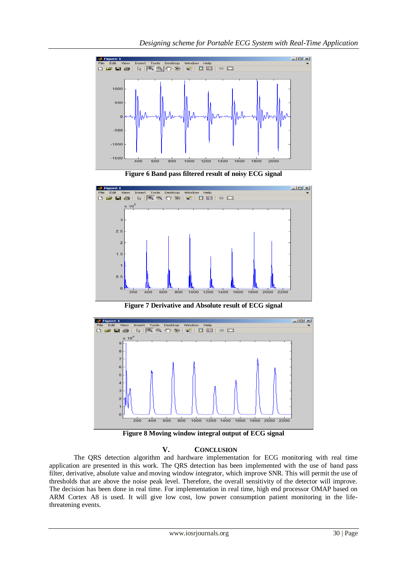

**Figure 6 Band pass filtered result of noisy ECG signal**



**Figure 7 Derivative and Absolute result of ECG signal**



**Figure 8 Moving window integral output of ECG signal**

# **V. CONCLUSION**

The QRS detection algorithm and hardware implementation for ECG monitoring with real time application are presented in this work. The QRS detection has been implemented with the use of band pass filter, derivative, absolute value and moving window integrator, which improve SNR. This will permit the use of thresholds that are above the noise peak level. Therefore, the overall sensitivity of the detector will improve. The decision has been done in real time. For implementation in real time, high end processor OMAP based on ARM Cortex A8 is used. It will give low cost, low power consumption patient monitoring in the lifethreatening events.